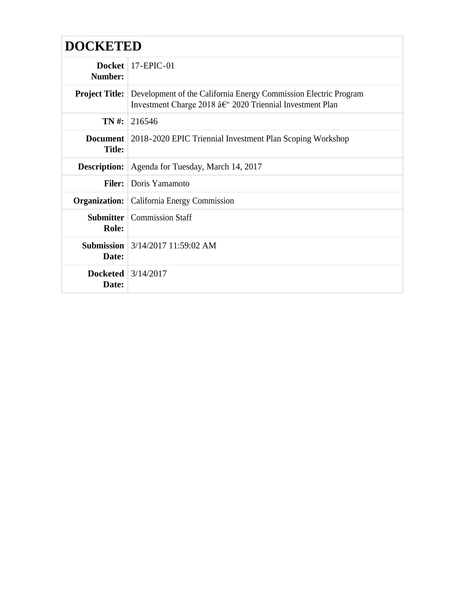| <b>DOCKETED</b>               |                                                                                                                                                  |  |
|-------------------------------|--------------------------------------------------------------------------------------------------------------------------------------------------|--|
| Number:                       | Docket   $17$ -EPIC-01                                                                                                                           |  |
|                               | <b>Project Title:</b> Development of the California Energy Commission Electric Program<br>Investment Charge 2018 †2020 Triennial Investment Plan |  |
|                               | TN #: 216546                                                                                                                                     |  |
| <b>Title:</b>                 | <b>Document</b> 2018-2020 EPIC Triennial Investment Plan Scoping Workshop                                                                        |  |
| <b>Description:</b>           | Agenda for Tuesday, March 14, 2017                                                                                                               |  |
|                               | <b>Filer:</b> Doris Yamamoto                                                                                                                     |  |
| Organization:                 | California Energy Commission                                                                                                                     |  |
| <b>Role:</b>                  | <b>Submitter</b>   Commission Staff                                                                                                              |  |
| Date:                         | <b>Submission</b> $3/14/2017$ 11:59:02 AM                                                                                                        |  |
| Docketed $3/14/2017$<br>Date: |                                                                                                                                                  |  |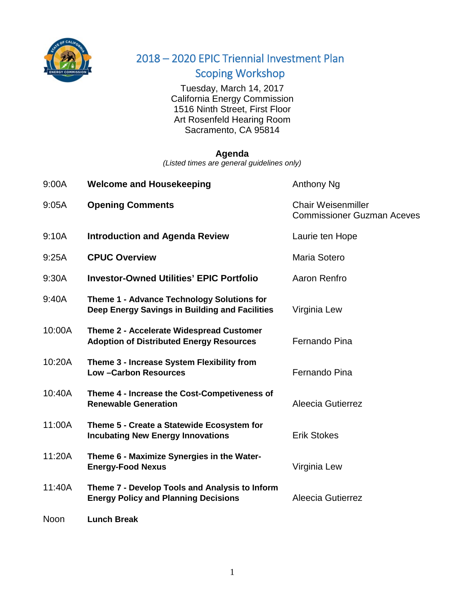

## 2018 – 2020 EPIC Triennial Investment Plan Scoping Workshop

Scoping workshop<br>Tuesday, March 14, 2017 California Energy Commission 1516 Ninth Street, First Floor Art Rosenfeld Hearing Room Sacramento, CA 95814

## **Agenda**

*(Listed times are general guidelines only)*

| 9:00A       | <b>Welcome and Housekeeping</b>                                                               | Anthony Ng                                                     |
|-------------|-----------------------------------------------------------------------------------------------|----------------------------------------------------------------|
| 9:05A       | <b>Opening Comments</b>                                                                       | <b>Chair Weisenmiller</b><br><b>Commissioner Guzman Aceves</b> |
| 9:10A       | <b>Introduction and Agenda Review</b>                                                         | Laurie ten Hope                                                |
| 9:25A       | <b>CPUC Overview</b>                                                                          | Maria Sotero                                                   |
| 9:30A       | <b>Investor-Owned Utilities' EPIC Portfolio</b>                                               | Aaron Renfro                                                   |
| 9:40A       | Theme 1 - Advance Technology Solutions for<br>Deep Energy Savings in Building and Facilities  | Virginia Lew                                                   |
| 10:00A      | Theme 2 - Accelerate Widespread Customer<br><b>Adoption of Distributed Energy Resources</b>   | Fernando Pina                                                  |
| 10:20A      | Theme 3 - Increase System Flexibility from<br><b>Low-Carbon Resources</b>                     | Fernando Pina                                                  |
| 10:40A      | Theme 4 - Increase the Cost-Competiveness of<br><b>Renewable Generation</b>                   | Aleecia Gutierrez                                              |
| 11:00A      | Theme 5 - Create a Statewide Ecosystem for<br><b>Incubating New Energy Innovations</b>        | <b>Erik Stokes</b>                                             |
| 11:20A      | Theme 6 - Maximize Synergies in the Water-<br><b>Energy-Food Nexus</b>                        | Virginia Lew                                                   |
| 11:40A      | Theme 7 - Develop Tools and Analysis to Inform<br><b>Energy Policy and Planning Decisions</b> | Aleecia Gutierrez                                              |
| <b>Noon</b> | Lunch Break                                                                                   |                                                                |